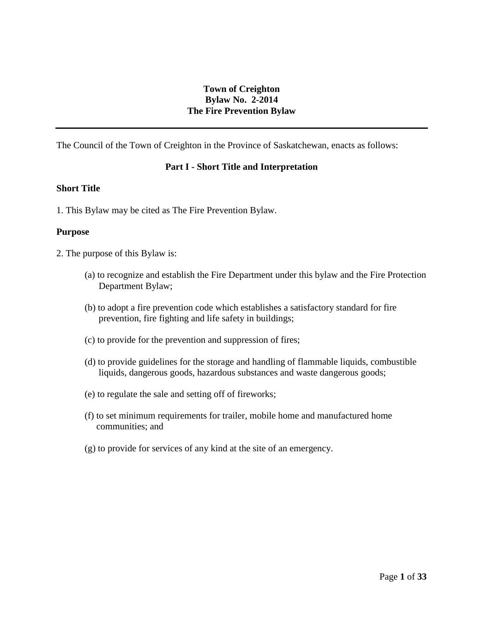### **Town of Creighton Bylaw No. 2-2014 The Fire Prevention Bylaw**

The Council of the Town of Creighton in the Province of Saskatchewan, enacts as follows:

#### **Part I - Short Title and Interpretation**

#### **Short Title**

1. This Bylaw may be cited as The Fire Prevention Bylaw.

#### **Purpose**

- 2. The purpose of this Bylaw is:
	- (a) to recognize and establish the Fire Department under this bylaw and the Fire Protection Department Bylaw;
	- (b) to adopt a fire prevention code which establishes a satisfactory standard for fire prevention, fire fighting and life safety in buildings;
	- (c) to provide for the prevention and suppression of fires;
	- (d) to provide guidelines for the storage and handling of flammable liquids, combustible liquids, dangerous goods, hazardous substances and waste dangerous goods;
	- (e) to regulate the sale and setting off of fireworks;
	- (f) to set minimum requirements for trailer, mobile home and manufactured home communities; and
	- (g) to provide for services of any kind at the site of an emergency.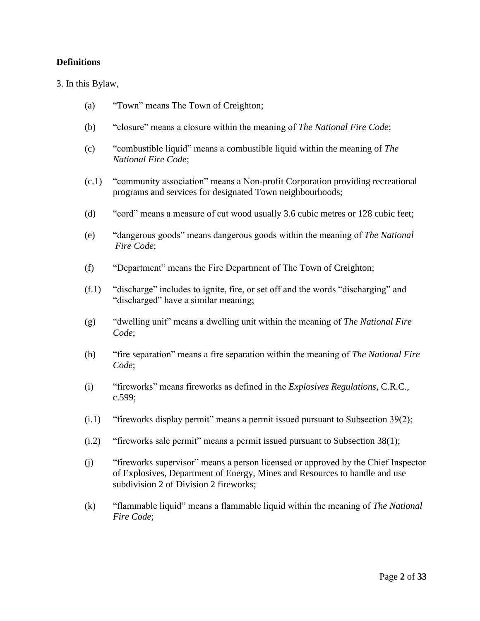#### **Definitions**

3. In this Bylaw,

- (a) "Town" means The Town of Creighton;
- (b) "closure" means a closure within the meaning of *The National Fire Code*;
- (c) "combustible liquid" means a combustible liquid within the meaning of *The National Fire Code*;
- (c.1) "community association" means a Non-profit Corporation providing recreational programs and services for designated Town neighbourhoods;
- (d) "cord" means a measure of cut wood usually 3.6 cubic metres or 128 cubic feet;
- (e) "dangerous goods" means dangerous goods within the meaning of *The National Fire Code*;
- (f) "Department" means the Fire Department of The Town of Creighton;
- (f.1) "discharge" includes to ignite, fire, or set off and the words "discharging" and "discharged" have a similar meaning;
- (g) "dwelling unit" means a dwelling unit within the meaning of *The National Fire Code*;
- (h) "fire separation" means a fire separation within the meaning of *The National Fire Code*;
- (i) "fireworks" means fireworks as defined in the *Explosives Regulations*, C.R.C., c.599;
- (i.1) "fireworks display permit" means a permit issued pursuant to Subsection 39(2);
- (i.2) "fireworks sale permit" means a permit issued pursuant to Subsection 38(1);
- (j) "fireworks supervisor" means a person licensed or approved by the Chief Inspector of Explosives, Department of Energy, Mines and Resources to handle and use subdivision 2 of Division 2 fireworks;
- (k) "flammable liquid" means a flammable liquid within the meaning of *The National Fire Code*;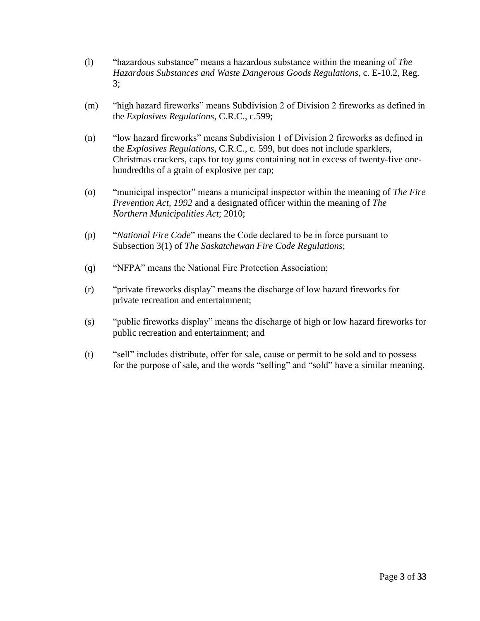- (l) "hazardous substance" means a hazardous substance within the meaning of *The Hazardous Substances and Waste Dangerous Goods Regulations*, c. E-10.2, Reg. 3;
- (m) "high hazard fireworks" means Subdivision 2 of Division 2 fireworks as defined in the *Explosives Regulations*, C.R.C., c.599;
- (n) "low hazard fireworks" means Subdivision 1 of Division 2 fireworks as defined in the *Explosives Regulations*, C.R.C., c. 599, but does not include sparklers, Christmas crackers, caps for toy guns containing not in excess of twenty-five onehundredths of a grain of explosive per cap;
- (o) "municipal inspector" means a municipal inspector within the meaning of *The Fire Prevention Act, 1992* and a designated officer within the meaning of *The Northern Municipalities Act*; 2010;
- (p) "*National Fire Code*" means the Code declared to be in force pursuant to Subsection 3(1) of *The Saskatchewan Fire Code Regulations*;
- (q) "NFPA" means the National Fire Protection Association;
- (r) "private fireworks display" means the discharge of low hazard fireworks for private recreation and entertainment;
- (s) "public fireworks display" means the discharge of high or low hazard fireworks for public recreation and entertainment; and
- (t) "sell" includes distribute, offer for sale, cause or permit to be sold and to possess for the purpose of sale, and the words "selling" and "sold" have a similar meaning.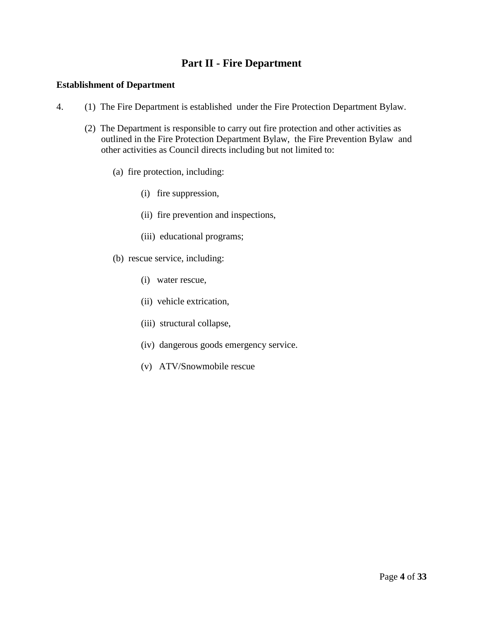# **Part II - Fire Department**

#### **Establishment of Department**

- 4. (1) The Fire Department is established under the Fire Protection Department Bylaw.
	- (2) The Department is responsible to carry out fire protection and other activities as outlined in the Fire Protection Department Bylaw, the Fire Prevention Bylaw and other activities as Council directs including but not limited to:
		- (a) fire protection, including:
			- (i) fire suppression,
			- (ii) fire prevention and inspections,
			- (iii) educational programs;
		- (b) rescue service, including:
			- (i) water rescue,
			- (ii) vehicle extrication,
			- (iii) structural collapse,
			- (iv) dangerous goods emergency service.
			- (v) ATV/Snowmobile rescue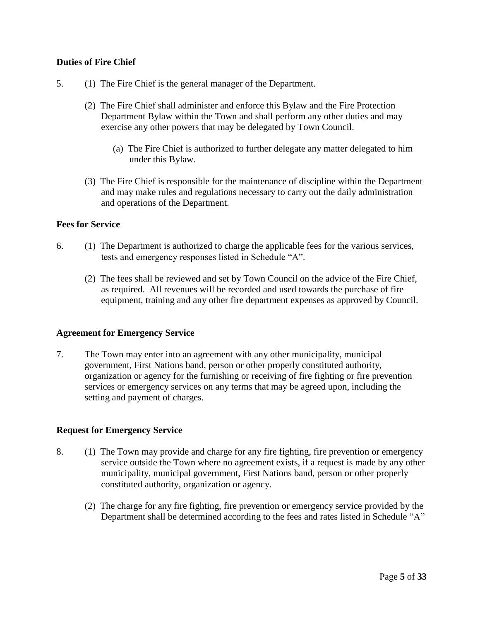#### **Duties of Fire Chief**

- 5. (1) The Fire Chief is the general manager of the Department.
	- (2) The Fire Chief shall administer and enforce this Bylaw and the Fire Protection Department Bylaw within the Town and shall perform any other duties and may exercise any other powers that may be delegated by Town Council.
		- (a) The Fire Chief is authorized to further delegate any matter delegated to him under this Bylaw.
	- (3) The Fire Chief is responsible for the maintenance of discipline within the Department and may make rules and regulations necessary to carry out the daily administration and operations of the Department.

#### **Fees for Service**

- 6. (1) The Department is authorized to charge the applicable fees for the various services, tests and emergency responses listed in Schedule "A".
	- (2) The fees shall be reviewed and set by Town Council on the advice of the Fire Chief, as required. All revenues will be recorded and used towards the purchase of fire equipment, training and any other fire department expenses as approved by Council.

#### **Agreement for Emergency Service**

7. The Town may enter into an agreement with any other municipality, municipal government, First Nations band, person or other properly constituted authority, organization or agency for the furnishing or receiving of fire fighting or fire prevention services or emergency services on any terms that may be agreed upon, including the setting and payment of charges.

#### **Request for Emergency Service**

- 8. (1) The Town may provide and charge for any fire fighting, fire prevention or emergency service outside the Town where no agreement exists, if a request is made by any other municipality, municipal government, First Nations band, person or other properly constituted authority, organization or agency.
	- (2) The charge for any fire fighting, fire prevention or emergency service provided by the Department shall be determined according to the fees and rates listed in Schedule "A"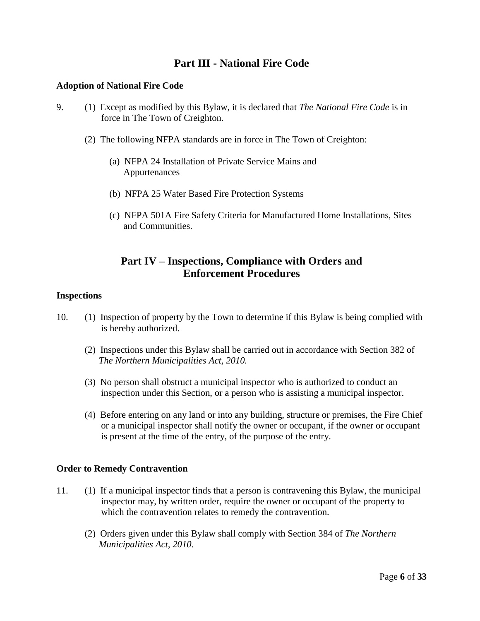# **Part III - National Fire Code**

#### **Adoption of National Fire Code**

- 9. (1) Except as modified by this Bylaw, it is declared that *The National Fire Code* is in force in The Town of Creighton.
	- (2) The following NFPA standards are in force in The Town of Creighton:
		- (a) NFPA 24 Installation of Private Service Mains and Appurtenances
		- (b) NFPA 25 Water Based Fire Protection Systems
		- (c) NFPA 501A Fire Safety Criteria for Manufactured Home Installations, Sites and Communities.

# **Part IV – Inspections, Compliance with Orders and Enforcement Procedures**

#### **Inspections**

- 10. (1) Inspection of property by the Town to determine if this Bylaw is being complied with is hereby authorized.
	- (2) Inspections under this Bylaw shall be carried out in accordance with Section 382 of *The Northern Municipalities Act, 2010.*
	- (3) No person shall obstruct a municipal inspector who is authorized to conduct an inspection under this Section, or a person who is assisting a municipal inspector.
	- (4) Before entering on any land or into any building, structure or premises, the Fire Chief or a municipal inspector shall notify the owner or occupant, if the owner or occupant is present at the time of the entry, of the purpose of the entry.

#### **Order to Remedy Contravention**

- 11. (1) If a municipal inspector finds that a person is contravening this Bylaw, the municipal inspector may, by written order, require the owner or occupant of the property to which the contravention relates to remedy the contravention.
	- (2) Orders given under this Bylaw shall comply with Section 384 of *The Northern Municipalities Act, 2010.*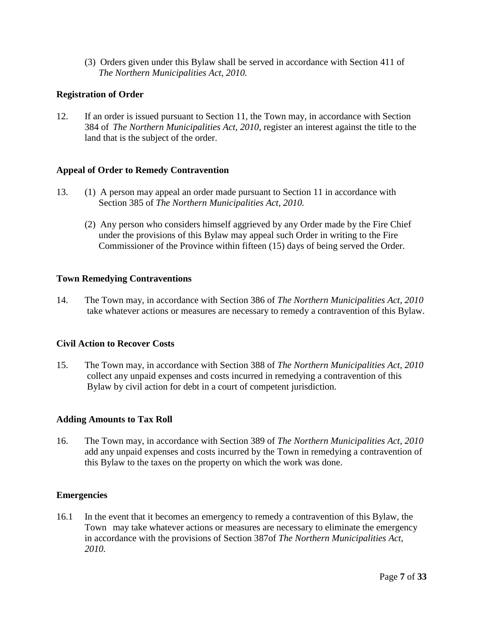(3) Orders given under this Bylaw shall be served in accordance with Section 411 of *The Northern Municipalities Act, 2010.*

#### **Registration of Order**

12. If an order is issued pursuant to Section 11, the Town may, in accordance with Section 384 of *The Northern Municipalities Act, 2010,* register an interest against the title to the land that is the subject of the order.

#### **Appeal of Order to Remedy Contravention**

- 13. (1) A person may appeal an order made pursuant to Section 11 in accordance with Section 385 of *The Northern Municipalities Act, 2010.*
	- (2) Any person who considers himself aggrieved by any Order made by the Fire Chief under the provisions of this Bylaw may appeal such Order in writing to the Fire Commissioner of the Province within fifteen (15) days of being served the Order.

#### **Town Remedying Contraventions**

14. The Town may, in accordance with Section 386 of *The Northern Municipalities Act, 2010* take whatever actions or measures are necessary to remedy a contravention of this Bylaw.

#### **Civil Action to Recover Costs**

15. The Town may, in accordance with Section 388 of *The Northern Municipalities Act*, *2010* collect any unpaid expenses and costs incurred in remedying a contravention of this Bylaw by civil action for debt in a court of competent jurisdiction.

#### **Adding Amounts to Tax Roll**

16. The Town may, in accordance with Section 389 of *The Northern Municipalities Act, 2010* add any unpaid expenses and costs incurred by the Town in remedying a contravention of this Bylaw to the taxes on the property on which the work was done.

#### **Emergencies**

16.1 In the event that it becomes an emergency to remedy a contravention of this Bylaw, the Town may take whatever actions or measures are necessary to eliminate the emergency in accordance with the provisions of Section 387of *The Northern Municipalities Act, 2010.*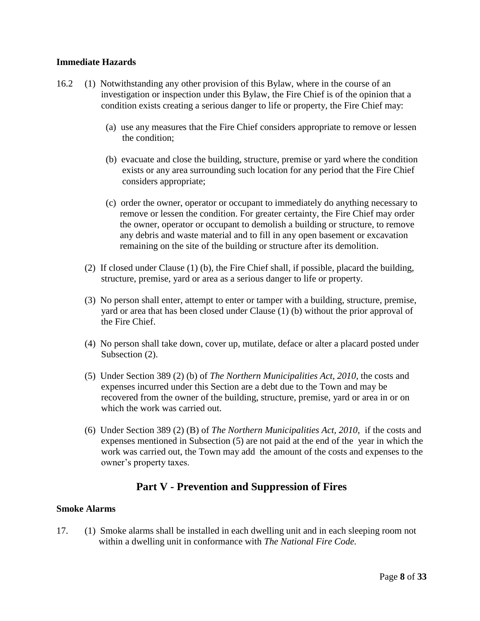#### **Immediate Hazards**

- 16.2 (1) Notwithstanding any other provision of this Bylaw, where in the course of an investigation or inspection under this Bylaw, the Fire Chief is of the opinion that a condition exists creating a serious danger to life or property, the Fire Chief may:
	- (a) use any measures that the Fire Chief considers appropriate to remove or lessen the condition;
	- (b) evacuate and close the building, structure, premise or yard where the condition exists or any area surrounding such location for any period that the Fire Chief considers appropriate;
	- (c) order the owner, operator or occupant to immediately do anything necessary to remove or lessen the condition. For greater certainty, the Fire Chief may order the owner, operator or occupant to demolish a building or structure, to remove any debris and waste material and to fill in any open basement or excavation remaining on the site of the building or structure after its demolition.
	- (2) If closed under Clause (1) (b), the Fire Chief shall, if possible, placard the building, structure, premise, yard or area as a serious danger to life or property.
	- (3) No person shall enter, attempt to enter or tamper with a building, structure, premise, yard or area that has been closed under Clause (1) (b) without the prior approval of the Fire Chief.
	- (4) No person shall take down, cover up, mutilate, deface or alter a placard posted under Subsection  $(2)$ .
	- (5) Under Section 389 (2) (b) of *The Northern Municipalities Act, 2010*, the costs and expenses incurred under this Section are a debt due to the Town and may be recovered from the owner of the building, structure, premise, yard or area in or on which the work was carried out.
	- (6) Under Section 389 (2) (B) of *The Northern Municipalities Act, 2010*, if the costs and expenses mentioned in Subsection (5) are not paid at the end of the year in which the work was carried out, the Town may add the amount of the costs and expenses to the owner's property taxes.

# **Part V - Prevention and Suppression of Fires**

#### **Smoke Alarms**

17. (1) Smoke alarms shall be installed in each dwelling unit and in each sleeping room not within a dwelling unit in conformance with *The National Fire Code.*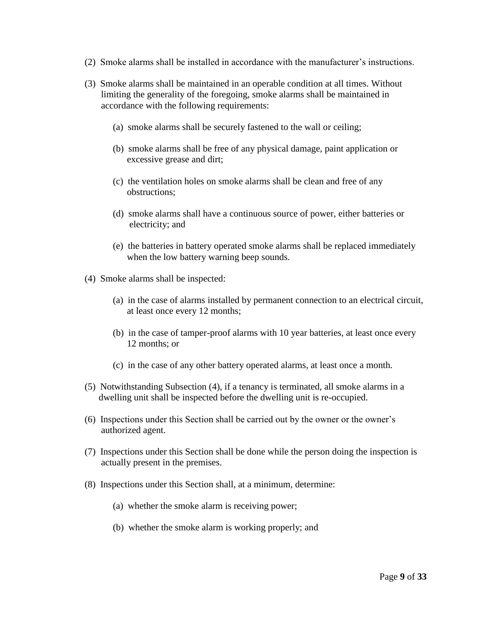- (2) Smoke alarms shall be installed in accordance with the manufacturer's instructions.
- (3) Smoke alarms shall be maintained in an operable condition at all times. Without limiting the generality of the foregoing, smoke alarms shall be maintained in accordance with the following requirements:
	- (a) smoke alarms shall be securely fastened to the wall or ceiling;
	- (b) smoke alarms shall be free of any physical damage, paint application or excessive grease and dirt;
	- (c) the ventilation holes on smoke alarms shall be clean and free of any obstructions;
	- (d) smoke alarms shall have a continuous source of power, either batteries or electricity; and
	- (e) the batteries in battery operated smoke alarms shall be replaced immediately when the low battery warning beep sounds.
- (4) Smoke alarms shall be inspected:
	- (a) in the case of alarms installed by permanent connection to an electrical circuit, at least once every 12 months;
	- (b) in the case of tamper-proof alarms with 10 year batteries, at least once every 12 months; or
	- (c) in the case of any other battery operated alarms, at least once a month.
- (5) Notwithstanding Subsection (4), if a tenancy is terminated, all smoke alarms in a dwelling unit shall be inspected before the dwelling unit is re-occupied.
- (6) Inspections under this Section shall be carried out by the owner or the owner's authorized agent.
- (7) Inspections under this Section shall be done while the person doing the inspection is actually present in the premises.
- (8) Inspections under this Section shall, at a minimum, determine:
	- (a) whether the smoke alarm is receiving power;
	- (b) whether the smoke alarm is working properly; and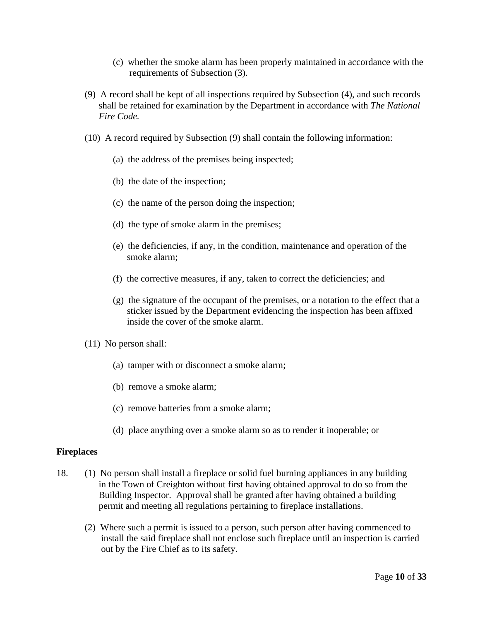- (c) whether the smoke alarm has been properly maintained in accordance with the requirements of Subsection (3).
- (9) A record shall be kept of all inspections required by Subsection (4), and such records shall be retained for examination by the Department in accordance with *The National Fire Code.*
- (10) A record required by Subsection (9) shall contain the following information:
	- (a) the address of the premises being inspected;
	- (b) the date of the inspection;
	- (c) the name of the person doing the inspection;
	- (d) the type of smoke alarm in the premises;
	- (e) the deficiencies, if any, in the condition, maintenance and operation of the smoke alarm;
	- (f) the corrective measures, if any, taken to correct the deficiencies; and
	- (g) the signature of the occupant of the premises, or a notation to the effect that a sticker issued by the Department evidencing the inspection has been affixed inside the cover of the smoke alarm.
- (11) No person shall:
	- (a) tamper with or disconnect a smoke alarm;
	- (b) remove a smoke alarm;
	- (c) remove batteries from a smoke alarm;
	- (d) place anything over a smoke alarm so as to render it inoperable; or

#### **Fireplaces**

- 18. (1) No person shall install a fireplace or solid fuel burning appliances in any building in the Town of Creighton without first having obtained approval to do so from the Building Inspector. Approval shall be granted after having obtained a building permit and meeting all regulations pertaining to fireplace installations.
	- (2) Where such a permit is issued to a person, such person after having commenced to install the said fireplace shall not enclose such fireplace until an inspection is carried out by the Fire Chief as to its safety.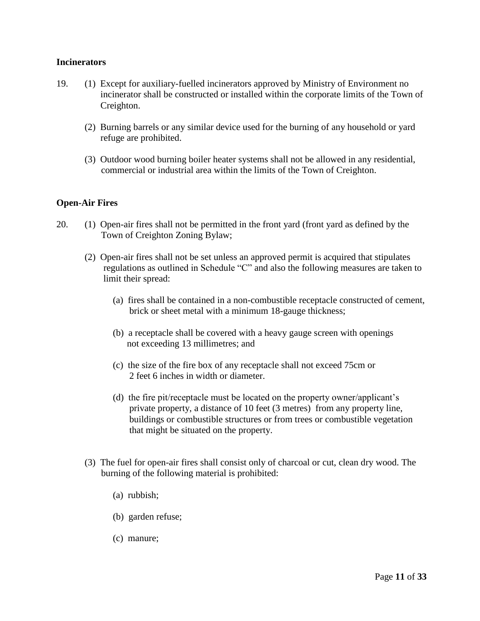#### **Incinerators**

- 19. (1) Except for auxiliary-fuelled incinerators approved by Ministry of Environment no incinerator shall be constructed or installed within the corporate limits of the Town of Creighton.
	- (2) Burning barrels or any similar device used for the burning of any household or yard refuge are prohibited.
	- (3) Outdoor wood burning boiler heater systems shall not be allowed in any residential, commercial or industrial area within the limits of the Town of Creighton.

#### **Open-Air Fires**

- 20. (1) Open-air fires shall not be permitted in the front yard (front yard as defined by the Town of Creighton Zoning Bylaw;
	- (2) Open-air fires shall not be set unless an approved permit is acquired that stipulates regulations as outlined in Schedule "C" and also the following measures are taken to limit their spread:
		- (a) fires shall be contained in a non-combustible receptacle constructed of cement, brick or sheet metal with a minimum 18-gauge thickness;
		- (b) a receptacle shall be covered with a heavy gauge screen with openings not exceeding 13 millimetres; and
		- (c) the size of the fire box of any receptacle shall not exceed 75cm or 2 feet 6 inches in width or diameter.
		- (d) the fire pit/receptacle must be located on the property owner/applicant's private property, a distance of 10 feet (3 metres) from any property line, buildings or combustible structures or from trees or combustible vegetation that might be situated on the property.
	- (3) The fuel for open-air fires shall consist only of charcoal or cut, clean dry wood. The burning of the following material is prohibited:
		- (a) rubbish;
		- (b) garden refuse;
		- (c) manure;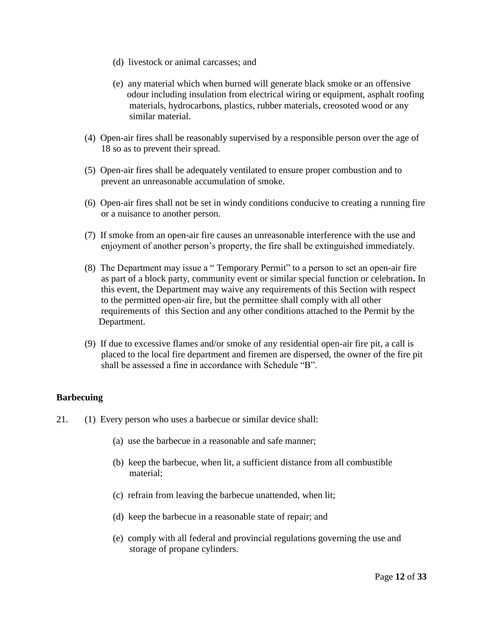- (d) livestock or animal carcasses; and
- (e) any material which when burned will generate black smoke or an offensive odour including insulation from electrical wiring or equipment, asphalt roofing materials, hydrocarbons, plastics, rubber materials, creosoted wood or any similar material.
- (4) Open-air fires shall be reasonably supervised by a responsible person over the age of 18 so as to prevent their spread.
- (5) Open-air fires shall be adequately ventilated to ensure proper combustion and to prevent an unreasonable accumulation of smoke.
- (6) Open-air fires shall not be set in windy conditions conducive to creating a running fire or a nuisance to another person.
- (7) If smoke from an open-air fire causes an unreasonable interference with the use and enjoyment of another person's property, the fire shall be extinguished immediately.
- (8) The Department may issue a " Temporary Permit" to a person to set an open-air fire as part of a block party, community event or similar special function or celebration**.** In this event, the Department may waive any requirements of this Section with respect to the permitted open-air fire, but the permittee shall comply with all other requirements of this Section and any other conditions attached to the Permit by the Department.
- (9) If due to excessive flames and/or smoke of any residential open-air fire pit, a call is placed to the local fire department and firemen are dispersed, the owner of the fire pit shall be assessed a fine in accordance with Schedule "B".

#### **Barbecuing**

- 21. (1) Every person who uses a barbecue or similar device shall:
	- (a) use the barbecue in a reasonable and safe manner;
	- (b) keep the barbecue, when lit, a sufficient distance from all combustible material;
	- (c) refrain from leaving the barbecue unattended, when lit;
	- (d) keep the barbecue in a reasonable state of repair; and
	- (e) comply with all federal and provincial regulations governing the use and storage of propane cylinders.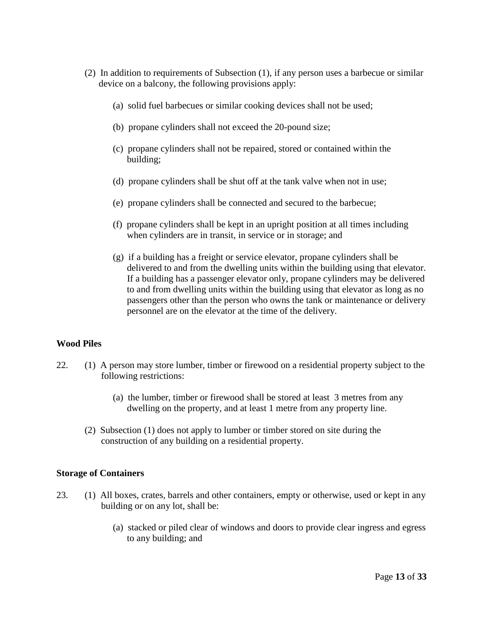- (2) In addition to requirements of Subsection (1), if any person uses a barbecue or similar device on a balcony, the following provisions apply:
	- (a) solid fuel barbecues or similar cooking devices shall not be used;
	- (b) propane cylinders shall not exceed the 20-pound size;
	- (c) propane cylinders shall not be repaired, stored or contained within the building;
	- (d) propane cylinders shall be shut off at the tank valve when not in use;
	- (e) propane cylinders shall be connected and secured to the barbecue;
	- (f) propane cylinders shall be kept in an upright position at all times including when cylinders are in transit, in service or in storage; and
	- (g) if a building has a freight or service elevator, propane cylinders shall be delivered to and from the dwelling units within the building using that elevator. If a building has a passenger elevator only, propane cylinders may be delivered to and from dwelling units within the building using that elevator as long as no passengers other than the person who owns the tank or maintenance or delivery personnel are on the elevator at the time of the delivery.

#### **Wood Piles**

- 22. (1) A person may store lumber, timber or firewood on a residential property subject to the following restrictions:
	- (a) the lumber, timber or firewood shall be stored at least 3 metres from any dwelling on the property, and at least 1 metre from any property line.
	- (2) Subsection (1) does not apply to lumber or timber stored on site during the construction of any building on a residential property.

#### **Storage of Containers**

- 23. (1) All boxes, crates, barrels and other containers, empty or otherwise, used or kept in any building or on any lot, shall be:
	- (a) stacked or piled clear of windows and doors to provide clear ingress and egress to any building; and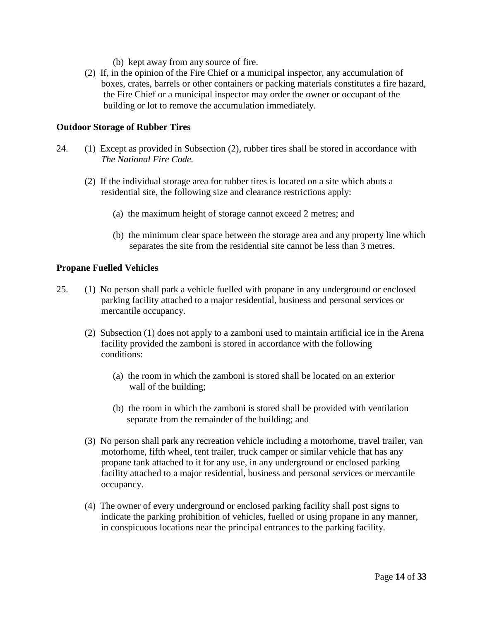- (b) kept away from any source of fire.
- (2) If, in the opinion of the Fire Chief or a municipal inspector, any accumulation of boxes, crates, barrels or other containers or packing materials constitutes a fire hazard, the Fire Chief or a municipal inspector may order the owner or occupant of the building or lot to remove the accumulation immediately.

#### **Outdoor Storage of Rubber Tires**

- 24. (1) Except as provided in Subsection (2), rubber tires shall be stored in accordance with *The National Fire Code.* 
	- (2) If the individual storage area for rubber tires is located on a site which abuts a residential site, the following size and clearance restrictions apply:
		- (a) the maximum height of storage cannot exceed 2 metres; and
		- (b) the minimum clear space between the storage area and any property line which separates the site from the residential site cannot be less than 3 metres.

#### **Propane Fuelled Vehicles**

- 25. (1) No person shall park a vehicle fuelled with propane in any underground or enclosed parking facility attached to a major residential, business and personal services or mercantile occupancy.
	- (2) Subsection (1) does not apply to a zamboni used to maintain artificial ice in the Arena facility provided the zamboni is stored in accordance with the following conditions:
		- (a) the room in which the zamboni is stored shall be located on an exterior wall of the building;
		- (b) the room in which the zamboni is stored shall be provided with ventilation separate from the remainder of the building; and
	- (3) No person shall park any recreation vehicle including a motorhome, travel trailer, van motorhome, fifth wheel, tent trailer, truck camper or similar vehicle that has any propane tank attached to it for any use, in any underground or enclosed parking facility attached to a major residential, business and personal services or mercantile occupancy.
	- (4) The owner of every underground or enclosed parking facility shall post signs to indicate the parking prohibition of vehicles, fuelled or using propane in any manner, in conspicuous locations near the principal entrances to the parking facility.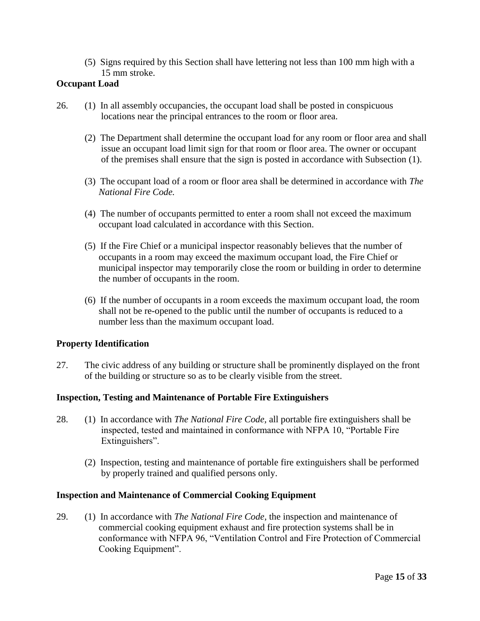(5) Signs required by this Section shall have lettering not less than 100 mm high with a 15 mm stroke.

#### **Occupant Load**

- 26. (1) In all assembly occupancies, the occupant load shall be posted in conspicuous locations near the principal entrances to the room or floor area.
	- (2) The Department shall determine the occupant load for any room or floor area and shall issue an occupant load limit sign for that room or floor area. The owner or occupant of the premises shall ensure that the sign is posted in accordance with Subsection (1).
	- (3) The occupant load of a room or floor area shall be determined in accordance with *The National Fire Code.*
	- (4) The number of occupants permitted to enter a room shall not exceed the maximum occupant load calculated in accordance with this Section.
	- (5) If the Fire Chief or a municipal inspector reasonably believes that the number of occupants in a room may exceed the maximum occupant load, the Fire Chief or municipal inspector may temporarily close the room or building in order to determine the number of occupants in the room.
	- (6) If the number of occupants in a room exceeds the maximum occupant load, the room shall not be re-opened to the public until the number of occupants is reduced to a number less than the maximum occupant load.

#### **Property Identification**

27. The civic address of any building or structure shall be prominently displayed on the front of the building or structure so as to be clearly visible from the street.

#### **Inspection, Testing and Maintenance of Portable Fire Extinguishers**

- 28. (1) In accordance with *The National Fire Code,* all portable fire extinguishers shall be inspected, tested and maintained in conformance with NFPA 10, "Portable Fire Extinguishers".
	- (2) Inspection, testing and maintenance of portable fire extinguishers shall be performed by properly trained and qualified persons only.

#### **Inspection and Maintenance of Commercial Cooking Equipment**

29. (1) In accordance with *The National Fire Code,* the inspection and maintenance of commercial cooking equipment exhaust and fire protection systems shall be in conformance with NFPA 96, "Ventilation Control and Fire Protection of Commercial Cooking Equipment".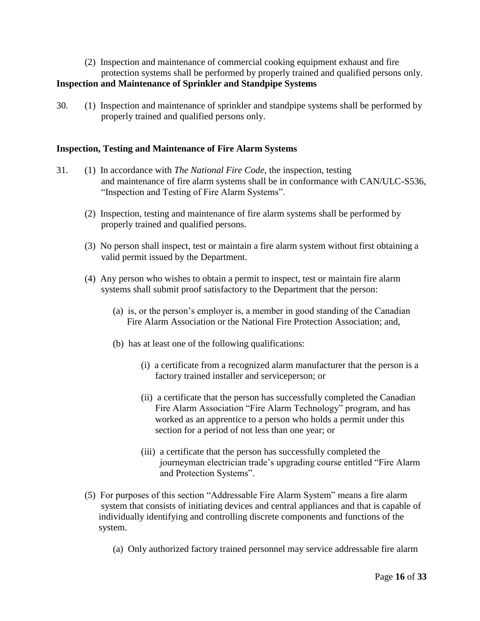(2) Inspection and maintenance of commercial cooking equipment exhaust and fire protection systems shall be performed by properly trained and qualified persons only.

# **Inspection and Maintenance of Sprinkler and Standpipe Systems**

30. (1) Inspection and maintenance of sprinkler and standpipe systems shall be performed by properly trained and qualified persons only.

#### **Inspection, Testing and Maintenance of Fire Alarm Systems**

- 31. (1) In accordance with *The National Fire Code*, the inspection, testing and maintenance of fire alarm systems shall be in conformance with CAN/ULC-S536, "Inspection and Testing of Fire Alarm Systems".
	- (2) Inspection, testing and maintenance of fire alarm systems shall be performed by properly trained and qualified persons.
	- (3) No person shall inspect, test or maintain a fire alarm system without first obtaining a valid permit issued by the Department.
	- (4) Any person who wishes to obtain a permit to inspect, test or maintain fire alarm systems shall submit proof satisfactory to the Department that the person:
		- (a) is, or the person's employer is, a member in good standing of the Canadian Fire Alarm Association or the National Fire Protection Association; and,
		- (b) has at least one of the following qualifications:
			- (i) a certificate from a recognized alarm manufacturer that the person is a factory trained installer and serviceperson; or
			- (ii) a certificate that the person has successfully completed the Canadian Fire Alarm Association "Fire Alarm Technology" program, and has worked as an apprentice to a person who holds a permit under this section for a period of not less than one year; or
			- (iii) a certificate that the person has successfully completed the journeyman electrician trade's upgrading course entitled "Fire Alarm and Protection Systems".
	- (5) For purposes of this section "Addressable Fire Alarm System" means a fire alarm system that consists of initiating devices and central appliances and that is capable of individually identifying and controlling discrete components and functions of the system.
		- (a) Only authorized factory trained personnel may service addressable fire alarm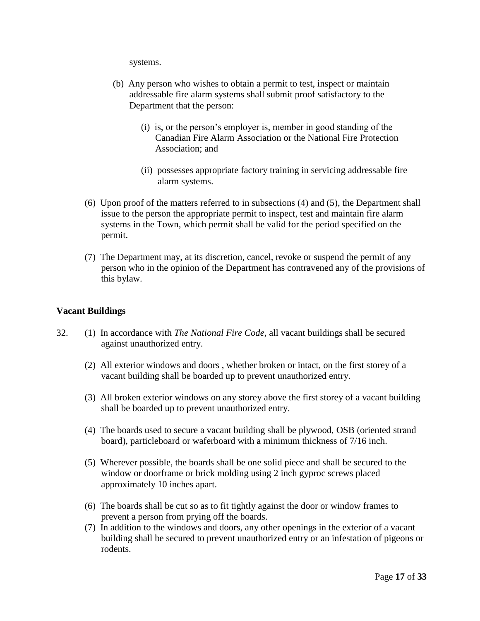systems.

- (b) Any person who wishes to obtain a permit to test, inspect or maintain addressable fire alarm systems shall submit proof satisfactory to the Department that the person:
	- (i) is, or the person's employer is, member in good standing of the Canadian Fire Alarm Association or the National Fire Protection Association; and
	- (ii) possesses appropriate factory training in servicing addressable fire alarm systems.
- (6) Upon proof of the matters referred to in subsections (4) and (5), the Department shall issue to the person the appropriate permit to inspect, test and maintain fire alarm systems in the Town, which permit shall be valid for the period specified on the permit.
- (7) The Department may, at its discretion, cancel, revoke or suspend the permit of any person who in the opinion of the Department has contravened any of the provisions of this bylaw.

#### **Vacant Buildings**

- 32. (1) In accordance with *The National Fire Code,* all vacant buildings shall be secured against unauthorized entry.
	- (2) All exterior windows and doors , whether broken or intact, on the first storey of a vacant building shall be boarded up to prevent unauthorized entry.
	- (3) All broken exterior windows on any storey above the first storey of a vacant building shall be boarded up to prevent unauthorized entry.
	- (4) The boards used to secure a vacant building shall be plywood, OSB (oriented strand board), particleboard or waferboard with a minimum thickness of 7/16 inch.
	- (5) Wherever possible, the boards shall be one solid piece and shall be secured to the window or doorframe or brick molding using 2 inch gyproc screws placed approximately 10 inches apart.
	- (6) The boards shall be cut so as to fit tightly against the door or window frames to prevent a person from prying off the boards.
	- (7) In addition to the windows and doors, any other openings in the exterior of a vacant building shall be secured to prevent unauthorized entry or an infestation of pigeons or rodents.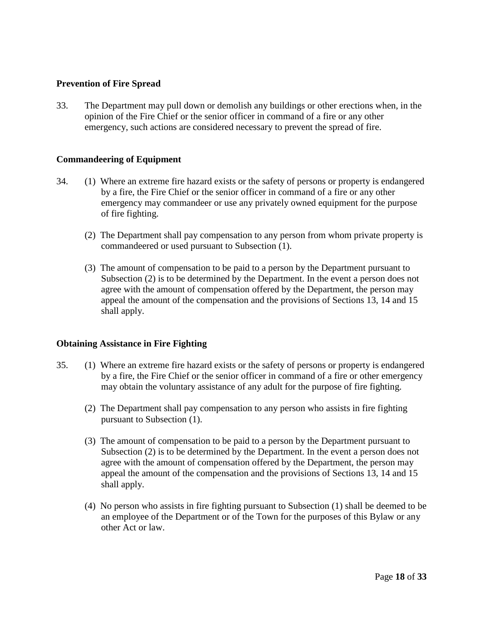#### **Prevention of Fire Spread**

33. The Department may pull down or demolish any buildings or other erections when, in the opinion of the Fire Chief or the senior officer in command of a fire or any other emergency, such actions are considered necessary to prevent the spread of fire.

#### **Commandeering of Equipment**

- 34. (1) Where an extreme fire hazard exists or the safety of persons or property is endangered by a fire, the Fire Chief or the senior officer in command of a fire or any other emergency may commandeer or use any privately owned equipment for the purpose of fire fighting.
	- (2) The Department shall pay compensation to any person from whom private property is commandeered or used pursuant to Subsection (1).
	- (3) The amount of compensation to be paid to a person by the Department pursuant to Subsection (2) is to be determined by the Department. In the event a person does not agree with the amount of compensation offered by the Department, the person may appeal the amount of the compensation and the provisions of Sections 13, 14 and 15 shall apply.

#### **Obtaining Assistance in Fire Fighting**

- 35. (1) Where an extreme fire hazard exists or the safety of persons or property is endangered by a fire, the Fire Chief or the senior officer in command of a fire or other emergency may obtain the voluntary assistance of any adult for the purpose of fire fighting.
	- (2) The Department shall pay compensation to any person who assists in fire fighting pursuant to Subsection (1).
	- (3) The amount of compensation to be paid to a person by the Department pursuant to Subsection (2) is to be determined by the Department. In the event a person does not agree with the amount of compensation offered by the Department, the person may appeal the amount of the compensation and the provisions of Sections 13, 14 and 15 shall apply.
	- (4) No person who assists in fire fighting pursuant to Subsection (1) shall be deemed to be an employee of the Department or of the Town for the purposes of this Bylaw or any other Act or law.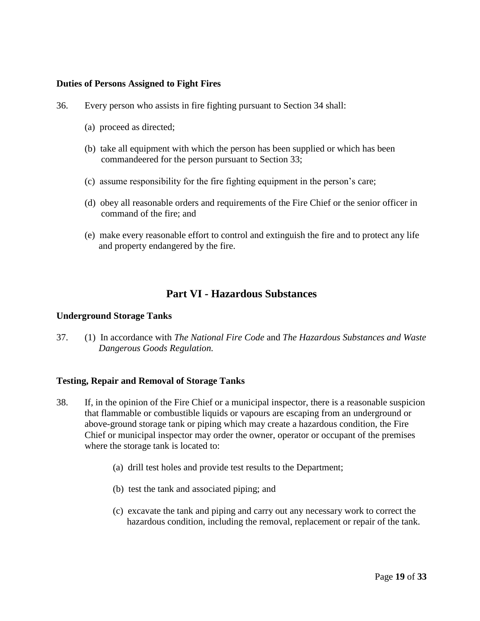#### **Duties of Persons Assigned to Fight Fires**

- 36. Every person who assists in fire fighting pursuant to Section 34 shall:
	- (a) proceed as directed;
	- (b) take all equipment with which the person has been supplied or which has been commandeered for the person pursuant to Section 33;
	- (c) assume responsibility for the fire fighting equipment in the person's care;
	- (d) obey all reasonable orders and requirements of the Fire Chief or the senior officer in command of the fire; and
	- (e) make every reasonable effort to control and extinguish the fire and to protect any life and property endangered by the fire.

## **Part VI - Hazardous Substances**

#### **Underground Storage Tanks**

37. (1) In accordance with *The National Fire Code* and *The Hazardous Substances and Waste Dangerous Goods Regulation.*

#### **Testing, Repair and Removal of Storage Tanks**

- 38. If, in the opinion of the Fire Chief or a municipal inspector, there is a reasonable suspicion that flammable or combustible liquids or vapours are escaping from an underground or above-ground storage tank or piping which may create a hazardous condition, the Fire Chief or municipal inspector may order the owner, operator or occupant of the premises where the storage tank is located to:
	- (a) drill test holes and provide test results to the Department;
	- (b) test the tank and associated piping; and
	- (c) excavate the tank and piping and carry out any necessary work to correct the hazardous condition, including the removal, replacement or repair of the tank.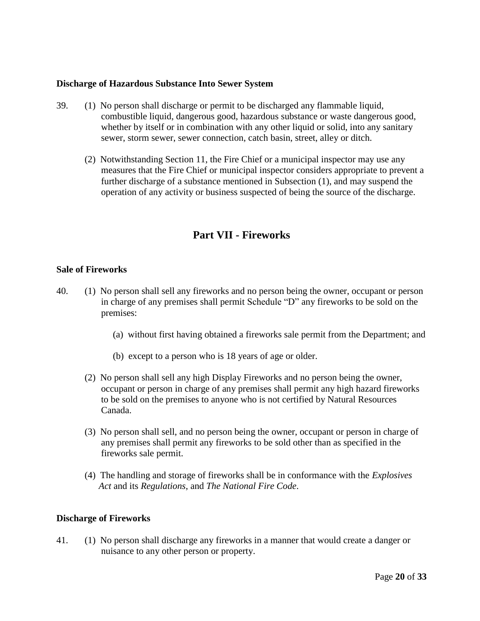#### **Discharge of Hazardous Substance Into Sewer System**

- 39. (1) No person shall discharge or permit to be discharged any flammable liquid, combustible liquid, dangerous good, hazardous substance or waste dangerous good, whether by itself or in combination with any other liquid or solid, into any sanitary sewer, storm sewer, sewer connection, catch basin, street, alley or ditch.
	- (2) Notwithstanding Section 11, the Fire Chief or a municipal inspector may use any measures that the Fire Chief or municipal inspector considers appropriate to prevent a further discharge of a substance mentioned in Subsection (1), and may suspend the operation of any activity or business suspected of being the source of the discharge.

# **Part VII - Fireworks**

#### **Sale of Fireworks**

- 40. (1) No person shall sell any fireworks and no person being the owner, occupant or person in charge of any premises shall permit Schedule "D" any fireworks to be sold on the premises:
	- (a) without first having obtained a fireworks sale permit from the Department; and
	- (b) except to a person who is 18 years of age or older.
	- (2) No person shall sell any high Display Fireworks and no person being the owner, occupant or person in charge of any premises shall permit any high hazard fireworks to be sold on the premises to anyone who is not certified by Natural Resources Canada.
	- (3) No person shall sell, and no person being the owner, occupant or person in charge of any premises shall permit any fireworks to be sold other than as specified in the fireworks sale permit.
	- (4) The handling and storage of fireworks shall be in conformance with the *Explosives Act* and its *Regulations*, and *The National Fire Code*.

#### **Discharge of Fireworks**

41. (1) No person shall discharge any fireworks in a manner that would create a danger or nuisance to any other person or property.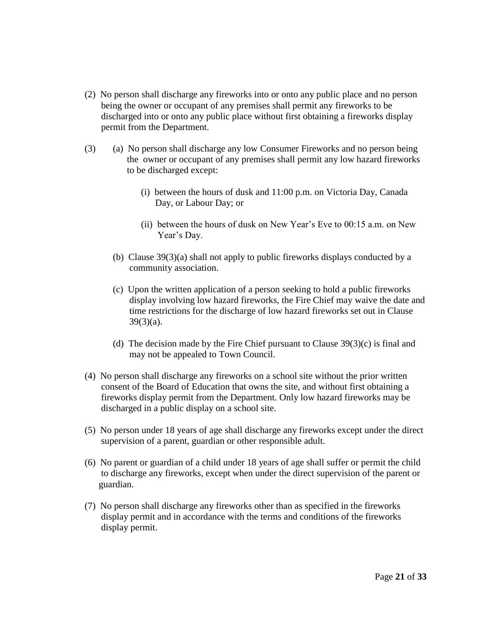- (2) No person shall discharge any fireworks into or onto any public place and no person being the owner or occupant of any premises shall permit any fireworks to be discharged into or onto any public place without first obtaining a fireworks display permit from the Department.
- (3) (a) No person shall discharge any low Consumer Fireworks and no person being the owner or occupant of any premises shall permit any low hazard fireworks to be discharged except:
	- (i) between the hours of dusk and 11:00 p.m. on Victoria Day, Canada Day, or Labour Day; or
	- (ii) between the hours of dusk on New Year's Eve to 00:15 a.m. on New Year's Day.
	- (b) Clause 39(3)(a) shall not apply to public fireworks displays conducted by a community association.
	- (c) Upon the written application of a person seeking to hold a public fireworks display involving low hazard fireworks, the Fire Chief may waive the date and time restrictions for the discharge of low hazard fireworks set out in Clause 39(3)(a).
	- (d) The decision made by the Fire Chief pursuant to Clause  $39(3)(c)$  is final and may not be appealed to Town Council.
- (4) No person shall discharge any fireworks on a school site without the prior written consent of the Board of Education that owns the site, and without first obtaining a fireworks display permit from the Department. Only low hazard fireworks may be discharged in a public display on a school site.
- (5) No person under 18 years of age shall discharge any fireworks except under the direct supervision of a parent, guardian or other responsible adult.
- (6) No parent or guardian of a child under 18 years of age shall suffer or permit the child to discharge any fireworks, except when under the direct supervision of the parent or guardian.
- (7) No person shall discharge any fireworks other than as specified in the fireworks display permit and in accordance with the terms and conditions of the fireworks display permit.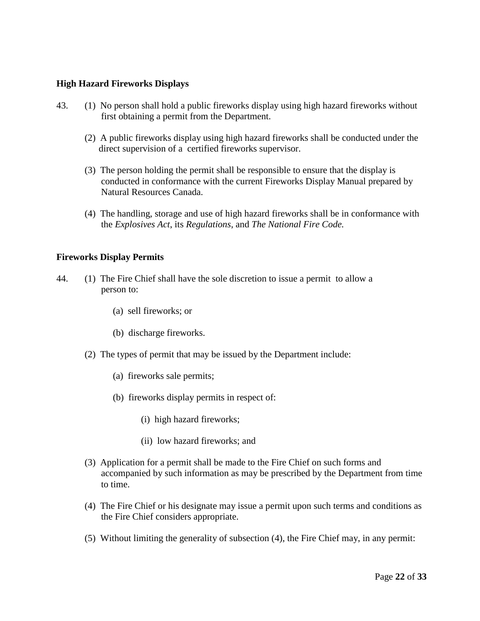#### **High Hazard Fireworks Displays**

- 43. (1) No person shall hold a public fireworks display using high hazard fireworks without first obtaining a permit from the Department.
	- (2) A public fireworks display using high hazard fireworks shall be conducted under the direct supervision of a certified fireworks supervisor.
	- (3) The person holding the permit shall be responsible to ensure that the display is conducted in conformance with the current Fireworks Display Manual prepared by Natural Resources Canada.
	- (4) The handling, storage and use of high hazard fireworks shall be in conformance with the *Explosives Act*, its *Regulations*, and *The National Fire Code.*

#### **Fireworks Display Permits**

- 44. (1) The Fire Chief shall have the sole discretion to issue a permit to allow a person to:
	- (a) sell fireworks; or
	- (b) discharge fireworks.
	- (2) The types of permit that may be issued by the Department include:
		- (a) fireworks sale permits;
		- (b) fireworks display permits in respect of:
			- (i) high hazard fireworks;
			- (ii) low hazard fireworks; and
	- (3) Application for a permit shall be made to the Fire Chief on such forms and accompanied by such information as may be prescribed by the Department from time to time.
	- (4) The Fire Chief or his designate may issue a permit upon such terms and conditions as the Fire Chief considers appropriate.
	- (5) Without limiting the generality of subsection (4), the Fire Chief may, in any permit: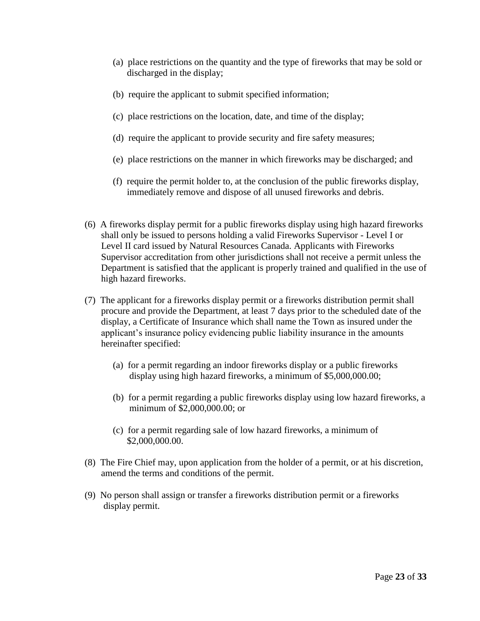- (a) place restrictions on the quantity and the type of fireworks that may be sold or discharged in the display;
- (b) require the applicant to submit specified information;
- (c) place restrictions on the location, date, and time of the display;
- (d) require the applicant to provide security and fire safety measures;
- (e) place restrictions on the manner in which fireworks may be discharged; and
- (f) require the permit holder to, at the conclusion of the public fireworks display, immediately remove and dispose of all unused fireworks and debris.
- (6) A fireworks display permit for a public fireworks display using high hazard fireworks shall only be issued to persons holding a valid Fireworks Supervisor - Level I or Level II card issued by Natural Resources Canada. Applicants with Fireworks Supervisor accreditation from other jurisdictions shall not receive a permit unless the Department is satisfied that the applicant is properly trained and qualified in the use of high hazard fireworks.
- (7) The applicant for a fireworks display permit or a fireworks distribution permit shall procure and provide the Department, at least 7 days prior to the scheduled date of the display, a Certificate of Insurance which shall name the Town as insured under the applicant's insurance policy evidencing public liability insurance in the amounts hereinafter specified:
	- (a) for a permit regarding an indoor fireworks display or a public fireworks display using high hazard fireworks, a minimum of \$5,000,000.00;
	- (b) for a permit regarding a public fireworks display using low hazard fireworks, a minimum of \$2,000,000.00; or
	- (c) for a permit regarding sale of low hazard fireworks, a minimum of \$2,000,000.00.
- (8) The Fire Chief may, upon application from the holder of a permit, or at his discretion, amend the terms and conditions of the permit.
- (9) No person shall assign or transfer a fireworks distribution permit or a fireworks display permit.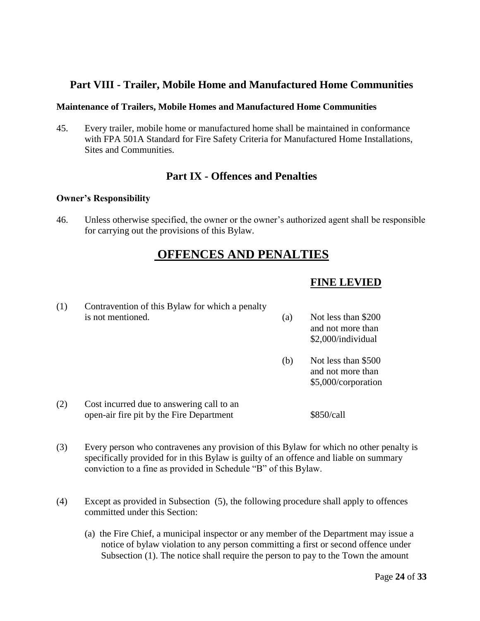# **Part VIII - Trailer, Mobile Home and Manufactured Home Communities**

#### **Maintenance of Trailers, Mobile Homes and Manufactured Home Communities**

45. Every trailer, mobile home or manufactured home shall be maintained in conformance with FPA 501A Standard for Fire Safety Criteria for Manufactured Home Installations, Sites and Communities.

# **Part IX - Offences and Penalties**

#### **Owner's Responsibility**

46. Unless otherwise specified, the owner or the owner's authorized agent shall be responsible for carrying out the provisions of this Bylaw.

# **OFFENCES AND PENALTIES**

#### **FINE LEVIED**

| (1) | Contravention of this Bylaw for which a penalty |     |                                                                |
|-----|-------------------------------------------------|-----|----------------------------------------------------------------|
|     | is not mentioned.                               | (a) | Not less than \$200<br>and not more than<br>\$2,000/individual |
|     |                                                 |     |                                                                |

- (b) Not less than \$500 and not more than \$5,000/corporation
- (2) Cost incurred due to answering call to an open-air fire pit by the Fire Department \$850/call
- (3) Every person who contravenes any provision of this Bylaw for which no other penalty is specifically provided for in this Bylaw is guilty of an offence and liable on summary conviction to a fine as provided in Schedule "B" of this Bylaw.
- (4) Except as provided in Subsection (5), the following procedure shall apply to offences committed under this Section:
	- (a) the Fire Chief, a municipal inspector or any member of the Department may issue a notice of bylaw violation to any person committing a first or second offence under Subsection (1). The notice shall require the person to pay to the Town the amount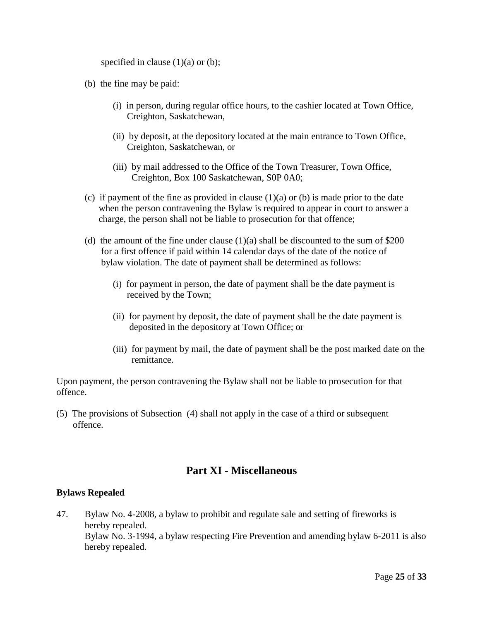specified in clause  $(1)(a)$  or  $(b)$ ;

- (b) the fine may be paid:
	- (i) in person, during regular office hours, to the cashier located at Town Office, Creighton, Saskatchewan,
	- (ii) by deposit, at the depository located at the main entrance to Town Office, Creighton, Saskatchewan, or
	- (iii) by mail addressed to the Office of the Town Treasurer, Town Office, Creighton, Box 100 Saskatchewan, S0P 0A0;
- (c) if payment of the fine as provided in clause  $(1)(a)$  or (b) is made prior to the date when the person contravening the Bylaw is required to appear in court to answer a charge, the person shall not be liable to prosecution for that offence;
- (d) the amount of the fine under clause  $(1)(a)$  shall be discounted to the sum of \$200 for a first offence if paid within 14 calendar days of the date of the notice of bylaw violation. The date of payment shall be determined as follows:
	- (i) for payment in person, the date of payment shall be the date payment is received by the Town;
	- (ii) for payment by deposit, the date of payment shall be the date payment is deposited in the depository at Town Office; or
	- (iii) for payment by mail, the date of payment shall be the post marked date on the remittance.

Upon payment, the person contravening the Bylaw shall not be liable to prosecution for that offence.

(5) The provisions of Subsection (4) shall not apply in the case of a third or subsequent offence.

# **Part XI - Miscellaneous**

#### **Bylaws Repealed**

47. Bylaw No. 4-2008, a bylaw to prohibit and regulate sale and setting of fireworks is hereby repealed. Bylaw No. 3-1994, a bylaw respecting Fire Prevention and amending bylaw 6-2011 is also hereby repealed.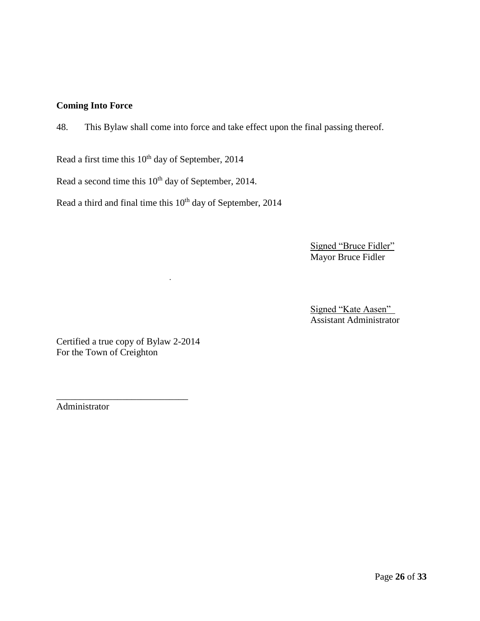# **Coming Into Force**

48. This Bylaw shall come into force and take effect upon the final passing thereof.

.

Read a first time this 10<sup>th</sup> day of September, 2014

Read a second time this 10<sup>th</sup> day of September, 2014.

Read a third and final time this 10<sup>th</sup> day of September, 2014

Signed "Bruce Fidler" Mayor Bruce Fidler

Signed "Kate Aasen" Assistant Administrator

Certified a true copy of Bylaw 2-2014 For the Town of Creighton

\_\_\_\_\_\_\_\_\_\_\_\_\_\_\_\_\_\_\_\_\_\_\_\_\_\_\_\_

Administrator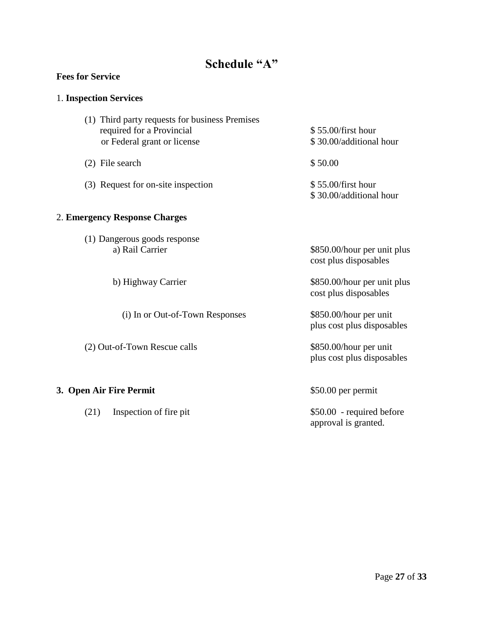# **Schedule "A"**

# **Fees for Service**

# 1. **Inspection Services**

| (1) Third party requests for business Premises |                         |
|------------------------------------------------|-------------------------|
| required for a Provincial                      | \$55.00/first hour      |
| or Federal grant or license                    | \$30.00/additional hour |
| $(2)$ File search                              | \$50.00                 |
| (3) Request for on-site inspection             | \$55.00/first hour      |
|                                                | \$30.00/additional hour |

# 2. **Emergency Response Charges**

| (1) Dangerous goods response<br>a) Rail Carrier | \$850.00/hour per unit plus<br>cost plus disposables |
|-------------------------------------------------|------------------------------------------------------|
| b) Highway Carrier                              | \$850.00/hour per unit plus<br>cost plus disposables |
| (i) In or Out-of-Town Responses                 | \$850.00/hour per unit<br>plus cost plus disposables |
| (2) Out-of-Town Rescue calls                    | \$850.00/hour per unit<br>plus cost plus disposables |
| 3. Open Air Fire Permit                         | \$50.00 per permit                                   |
| (21)<br>Inspection of fire pit.                 | \$50.00 - required before<br>approval is granted.    |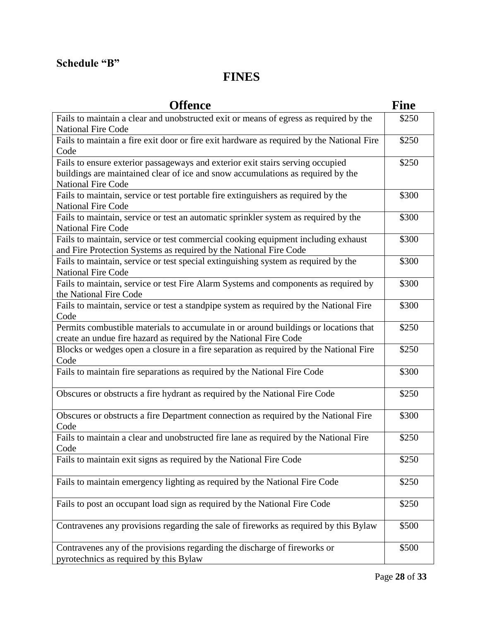# **Schedule "B"**

# **FINES**

| <b>Offence</b>                                                                                                                                                                                 | <b>Fine</b> |
|------------------------------------------------------------------------------------------------------------------------------------------------------------------------------------------------|-------------|
| Fails to maintain a clear and unobstructed exit or means of egress as required by the<br><b>National Fire Code</b>                                                                             | \$250       |
| Fails to maintain a fire exit door or fire exit hardware as required by the National Fire<br>Code                                                                                              | \$250       |
| Fails to ensure exterior passageways and exterior exit stairs serving occupied<br>buildings are maintained clear of ice and snow accumulations as required by the<br><b>National Fire Code</b> | \$250       |
| Fails to maintain, service or test portable fire extinguishers as required by the<br><b>National Fire Code</b>                                                                                 | \$300       |
| Fails to maintain, service or test an automatic sprinkler system as required by the<br><b>National Fire Code</b>                                                                               | \$300       |
| Fails to maintain, service or test commercial cooking equipment including exhaust<br>and Fire Protection Systems as required by the National Fire Code                                         | \$300       |
| Fails to maintain, service or test special extinguishing system as required by the<br><b>National Fire Code</b>                                                                                | \$300       |
| Fails to maintain, service or test Fire Alarm Systems and components as required by<br>the National Fire Code                                                                                  | \$300       |
| Fails to maintain, service or test a standpipe system as required by the National Fire<br>Code                                                                                                 | \$300       |
| Permits combustible materials to accumulate in or around buildings or locations that<br>create an undue fire hazard as required by the National Fire Code                                      | \$250       |
| Blocks or wedges open a closure in a fire separation as required by the National Fire<br>Code                                                                                                  | \$250       |
| Fails to maintain fire separations as required by the National Fire Code                                                                                                                       | \$300       |
| Obscures or obstructs a fire hydrant as required by the National Fire Code                                                                                                                     | \$250       |
| Obscures or obstructs a fire Department connection as required by the National Fire<br>Code                                                                                                    | \$300       |
| Fails to maintain a clear and unobstructed fire lane as required by the National Fire<br>Code                                                                                                  | \$250       |
| Fails to maintain exit signs as required by the National Fire Code                                                                                                                             | \$250       |
| Fails to maintain emergency lighting as required by the National Fire Code                                                                                                                     | \$250       |
| Fails to post an occupant load sign as required by the National Fire Code                                                                                                                      | \$250       |
| Contravenes any provisions regarding the sale of fireworks as required by this Bylaw                                                                                                           | \$500       |
| Contravenes any of the provisions regarding the discharge of fireworks or<br>pyrotechnics as required by this Bylaw                                                                            | \$500       |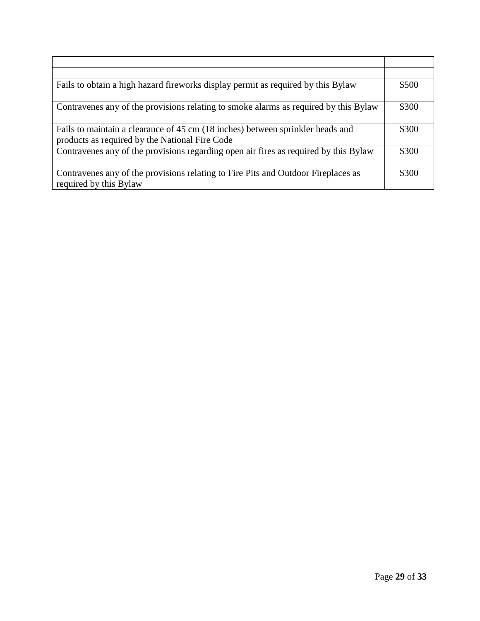| Fails to obtain a high hazard fireworks display permit as required by this Bylaw                                                 | \$500 |
|----------------------------------------------------------------------------------------------------------------------------------|-------|
| Contravenes any of the provisions relating to smoke alarms as required by this Bylaw                                             | \$300 |
| Fails to maintain a clearance of 45 cm (18 inches) between sprinkler heads and<br>products as required by the National Fire Code | \$300 |
| Contravenes any of the provisions regarding open air fires as required by this Bylaw                                             | \$300 |
| Contravenes any of the provisions relating to Fire Pits and Outdoor Fireplaces as<br>required by this Bylaw                      | \$300 |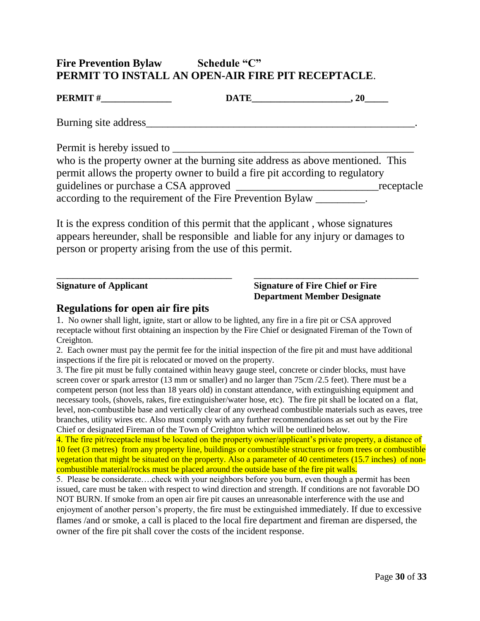# **Fire Prevention Bylaw Schedule "C" PERMIT TO INSTALL AN OPEN-AIR FIRE PIT RECEPTACLE**.

| <b>PERMIT #</b> | <b>DATE</b> | 90<br>ั⊶∪ |
|-----------------|-------------|-----------|
|                 |             |           |

Burning site address\_\_\_\_\_\_\_\_\_\_\_\_\_\_\_\_\_\_\_\_\_\_\_\_\_\_\_\_\_\_\_\_\_\_\_\_\_\_\_\_\_\_\_\_\_\_\_\_\_.

Permit is hereby issued to \_\_\_\_\_\_\_\_\_\_\_\_\_\_\_\_\_\_\_\_\_\_\_\_\_\_\_\_\_\_\_\_\_\_\_\_\_\_\_\_\_\_\_\_ who is the property owner at the burning site address as above mentioned. This permit allows the property owner to build a fire pit according to regulatory guidelines or purchase a CSA approved \_\_\_\_\_\_\_\_\_\_\_\_\_\_\_\_\_\_\_\_\_\_\_\_\_\_\_\_\_\_\_\_\_\_\_receptacle according to the requirement of the Fire Prevention Bylaw \_\_\_\_\_\_\_\_\_.

It is the express condition of this permit that the applicant , whose signatures appears hereunder, shall be responsible and liable for any injury or damages to person or property arising from the use of this permit.

| <b>Signature of Applicant</b> | <b>Signature of Fire Chief or Fire</b> |
|-------------------------------|----------------------------------------|

### **Signature of Fire Chief or Fire Department Member Designate**

# **Regulations for open air fire pits**

1. No owner shall light, ignite, start or allow to be lighted, any fire in a fire pit or CSA approved receptacle without first obtaining an inspection by the Fire Chief or designated Fireman of the Town of Creighton.

2. Each owner must pay the permit fee for the initial inspection of the fire pit and must have additional inspections if the fire pit is relocated or moved on the property.

3. The fire pit must be fully contained within heavy gauge steel, concrete or cinder blocks, must have screen cover or spark arrestor (13 mm or smaller) and no larger than 75cm /2.5 feet). There must be a competent person (not less than 18 years old) in constant attendance, with extinguishing equipment and necessary tools, (shovels, rakes, fire extinguisher/water hose, etc). The fire pit shall be located on a flat, level, non-combustible base and vertically clear of any overhead combustible materials such as eaves, tree branches, utility wires etc. Also must comply with any further recommendations as set out by the Fire Chief or designated Fireman of the Town of Creighton which will be outlined below.

4. The fire pit/receptacle must be located on the property owner/applicant's private property, a distance of 10 feet (3 metres) from any property line, buildings or combustible structures or from trees or combustible vegetation that might be situated on the property. Also a parameter of 40 centimeters (15.7 inches) of noncombustible material/rocks must be placed around the outside base of the fire pit walls.

5. Please be considerate….check with your neighbors before you burn, even though a permit has been issued, care must be taken with respect to wind direction and strength. If conditions are not favorable DO NOT BURN. If smoke from an open air fire pit causes an unreasonable interference with the use and enjoyment of another person's property, the fire must be extinguished immediately. If due to excessive flames /and or smoke, a call is placed to the local fire department and fireman are dispersed, the owner of the fire pit shall cover the costs of the incident response.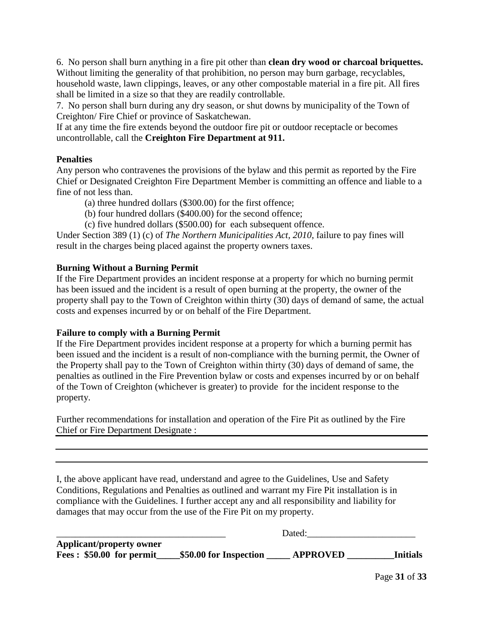6. No person shall burn anything in a fire pit other than **clean dry wood or charcoal briquettes.** Without limiting the generality of that prohibition, no person may burn garbage, recyclables, household waste, lawn clippings, leaves, or any other compostable material in a fire pit. All fires shall be limited in a size so that they are readily controllable.

7. No person shall burn during any dry season, or shut downs by municipality of the Town of Creighton/ Fire Chief or province of Saskatchewan.

If at any time the fire extends beyond the outdoor fire pit or outdoor receptacle or becomes uncontrollable, call the **Creighton Fire Department at 911.**

#### **Penalties**

Any person who contravenes the provisions of the bylaw and this permit as reported by the Fire Chief or Designated Creighton Fire Department Member is committing an offence and liable to a fine of not less than.

(a) three hundred dollars (\$300.00) for the first offence;

(b) four hundred dollars (\$400.00) for the second offence;

(c) five hundred dollars (\$500.00) for each subsequent offence.

Under Section 389 (1) (c) of *The Northern Municipalities Act, 2010*, failure to pay fines will result in the charges being placed against the property owners taxes.

#### **Burning Without a Burning Permit**

If the Fire Department provides an incident response at a property for which no burning permit has been issued and the incident is a result of open burning at the property, the owner of the property shall pay to the Town of Creighton within thirty (30) days of demand of same, the actual costs and expenses incurred by or on behalf of the Fire Department.

#### **Failure to comply with a Burning Permit**

If the Fire Department provides incident response at a property for which a burning permit has been issued and the incident is a result of non-compliance with the burning permit, the Owner of the Property shall pay to the Town of Creighton within thirty (30) days of demand of same, the penalties as outlined in the Fire Prevention bylaw or costs and expenses incurred by or on behalf of the Town of Creighton (whichever is greater) to provide for the incident response to the property.

Further recommendations for installation and operation of the Fire Pit as outlined by the Fire Chief or Fire Department Designate :

I, the above applicant have read, understand and agree to the Guidelines, Use and Safety Conditions, Regulations and Penalties as outlined and warrant my Fire Pit installation is in compliance with the Guidelines. I further accept any and all responsibility and liability for damages that may occur from the use of the Fire Pit on my property.

|                                                      |                        | Dated:          |                 |
|------------------------------------------------------|------------------------|-----------------|-----------------|
| Applicant/property owner<br>Fees: \$50.00 for permit | \$50.00 for Inspection | <b>APPROVED</b> | <b>Initials</b> |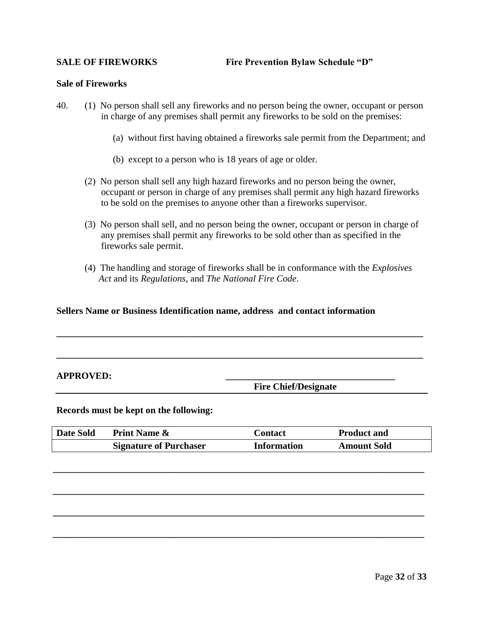**SALE OF FIREWORKS Fire Prevention Bylaw Schedule "D"**

#### **Sale of Fireworks**

- 40. (1) No person shall sell any fireworks and no person being the owner, occupant or person in charge of any premises shall permit any fireworks to be sold on the premises:
	- (a) without first having obtained a fireworks sale permit from the Department; and
	- (b) except to a person who is 18 years of age or older.
	- (2) No person shall sell any high hazard fireworks and no person being the owner, occupant or person in charge of any premises shall permit any high hazard fireworks to be sold on the premises to anyone other than a fireworks supervisor.
	- (3) No person shall sell, and no person being the owner, occupant or person in charge of any premises shall permit any fireworks to be sold other than as specified in the fireworks sale permit.
	- (4) The handling and storage of fireworks shall be in conformance with the *Explosives Act* and its *Regulations*, and *The National Fire Code*.

**\_\_\_\_\_\_\_\_\_\_\_\_\_\_\_\_\_\_\_\_\_\_\_\_\_\_\_\_\_\_\_\_\_\_\_\_\_\_\_\_\_\_\_\_\_\_\_\_\_\_\_\_\_\_\_\_\_\_\_\_\_\_\_\_\_\_\_\_\_\_\_\_\_\_\_\_\_\_**

**\_\_\_\_\_\_\_\_\_\_\_\_\_\_\_\_\_\_\_\_\_\_\_\_\_\_\_\_\_\_\_\_\_\_\_\_\_\_\_\_\_\_\_\_\_\_\_\_\_\_\_\_\_\_\_\_\_\_\_\_\_\_\_\_\_\_\_\_\_\_\_\_\_\_\_\_\_\_**

#### **Sellers Name or Business Identification name, address and contact information**

#### **APPROVED: \_\_\_\_\_\_\_\_\_\_\_\_\_\_\_\_\_\_\_\_\_\_\_\_\_\_\_\_\_\_\_\_\_\_\_\_**

**Fire Chief/Designate**

**Records must be kept on the following:**

| Date Sold | <b>Print Name &amp;</b>       | Contact            | <b>Product and</b> |
|-----------|-------------------------------|--------------------|--------------------|
|           | <b>Signature of Purchaser</b> | <b>Information</b> | <b>Amount Sold</b> |

**\_\_\_\_\_\_\_\_\_\_\_\_\_\_\_\_\_\_\_\_\_\_\_\_\_\_\_\_\_\_\_\_\_\_\_\_\_\_\_\_\_\_\_\_\_\_\_\_\_\_\_\_\_\_\_\_\_\_\_\_\_\_\_\_\_\_\_\_\_\_\_\_\_\_\_\_\_\_\_**

**\_\_\_\_\_\_\_\_\_\_\_\_\_\_\_\_\_\_\_\_\_\_\_\_\_\_\_\_\_\_\_\_\_\_\_\_\_\_\_\_\_\_\_\_\_\_\_\_\_\_\_\_\_\_\_\_\_\_\_\_\_\_\_\_\_\_\_\_\_\_\_\_\_\_\_\_\_\_\_**

**\_\_\_\_\_\_\_\_\_\_\_\_\_\_\_\_\_\_\_\_\_\_\_\_\_\_\_\_\_\_\_\_\_\_\_\_\_\_\_\_\_\_\_\_\_\_\_\_\_\_\_\_\_\_\_\_\_\_\_\_\_\_\_\_\_\_\_\_\_\_\_\_\_\_\_\_\_\_\_**

**\_\_\_\_\_\_\_\_\_\_\_\_\_\_\_\_\_\_\_\_\_\_\_\_\_\_\_\_\_\_\_\_\_\_\_\_\_\_\_\_\_\_\_\_\_\_\_\_\_\_\_\_\_\_\_\_\_\_\_\_\_\_\_\_\_\_\_\_\_\_\_\_\_\_\_\_\_\_\_**